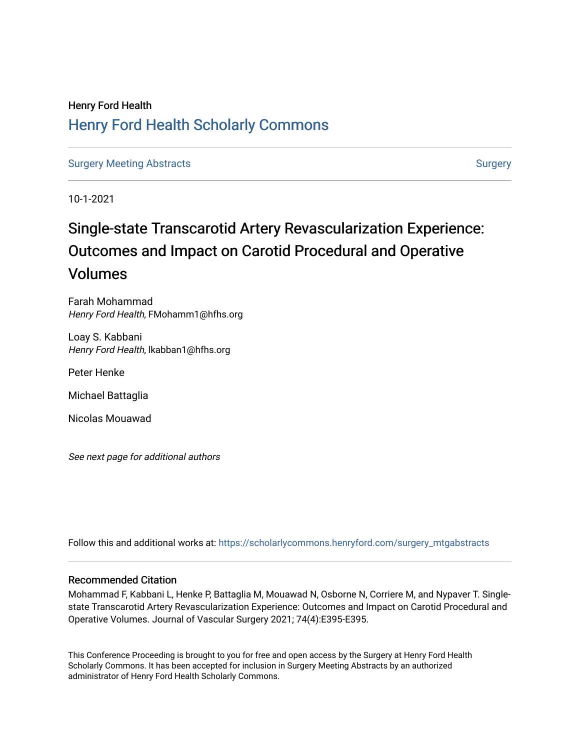# Henry Ford Health [Henry Ford Health Scholarly Commons](https://scholarlycommons.henryford.com/)

[Surgery Meeting Abstracts](https://scholarlycommons.henryford.com/surgery_mtgabstracts) and [Surgery](https://scholarlycommons.henryford.com/surgery) Surgery Surgery Surgery

10-1-2021

# Single-state Transcarotid Artery Revascularization Experience: Outcomes and Impact on Carotid Procedural and Operative Volumes

Farah Mohammad Henry Ford Health, FMohamm1@hfhs.org

Loay S. Kabbani Henry Ford Health, lkabban1@hfhs.org

Peter Henke

Michael Battaglia

Nicolas Mouawad

See next page for additional authors

Follow this and additional works at: [https://scholarlycommons.henryford.com/surgery\\_mtgabstracts](https://scholarlycommons.henryford.com/surgery_mtgabstracts?utm_source=scholarlycommons.henryford.com%2Fsurgery_mtgabstracts%2F218&utm_medium=PDF&utm_campaign=PDFCoverPages) 

# Recommended Citation

Mohammad F, Kabbani L, Henke P, Battaglia M, Mouawad N, Osborne N, Corriere M, and Nypaver T. Singlestate Transcarotid Artery Revascularization Experience: Outcomes and Impact on Carotid Procedural and Operative Volumes. Journal of Vascular Surgery 2021; 74(4):E395-E395.

This Conference Proceeding is brought to you for free and open access by the Surgery at Henry Ford Health Scholarly Commons. It has been accepted for inclusion in Surgery Meeting Abstracts by an authorized administrator of Henry Ford Health Scholarly Commons.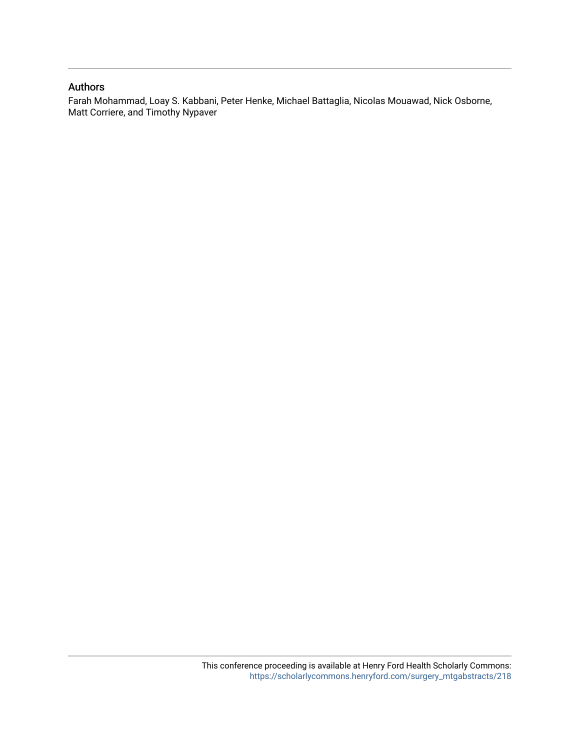# Authors

Farah Mohammad, Loay S. Kabbani, Peter Henke, Michael Battaglia, Nicolas Mouawad, Nick Osborne, Matt Corriere, and Timothy Nypaver